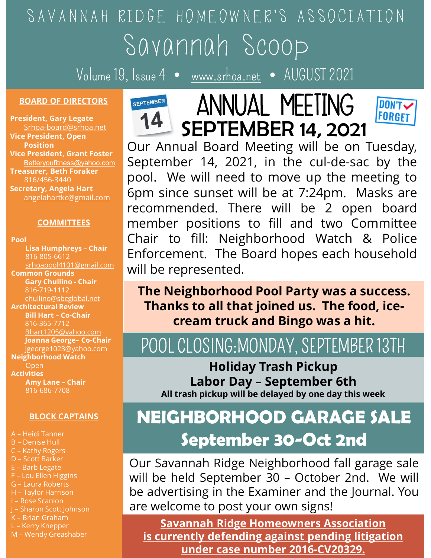## SAVANNAH RIDGE HOMEOWNER'S ASSOCIATION Savannah Scoop

Volume 19, Issue 4 • www.srhoa.net • AUGUST 2021

### **BOARD OF DIRECTORS** SEPTEMBER

President, Gary Legate Srhoa-board@srhoa.net Vice President, Open Vice President, Grant Foster Treasurer, Beth Foraker Secretary, Angela Hart

Pool

Common Grounds chullino@sbcglobal.net Architectural Review 816-365-7712 Bhart1205@yahoo.com Neighborhood Watch Open Activities COMMITTEES<br>
Lisa Humphreys - Chair<br>
Bale – Chair (Chair to fill: Neighborhoo<br>
Side – Soft Lisa Humphreys - Chair<br>
Side – Chair – Chair – Chair – Chair – Chair – Chair – Chair – Chair Bigger<br>
Cary Chullino – Chair – Chair – E-<br>
EXPERIMENT ON THE DEVIDENCE ON THE REIGNAL CONTAINS STATES (1991)<br>
STAR (2000)<br>
Common Grounds<br>
SECTION CRIP CONTAINS SURVEY of the Neighborhood<br>
Bill Hart - Co-Chair<br>
Bill Hart - Co-Chair<br>
Bill Hart - Co-Chair<br>
SECTIO SCRIP (SCRIPTING)<br>
ALLIED CHARGES CONTROLLING THE **Reighborhood**<br>
SHARGES - THE READ CONDING THANKS TO all Hat<br>
SHARGES - THE READ CONDING THANKS TO all that<br>
SHARGES - THE READ CONDING THANKS TO ALL AND THANKS TO ALL AND Common Grounds Chair<br>
Mann Contains and the Chair<br>
Mann Contains and the Chair<br>
Sili Hart - Co-Chair<br>
Bill Hart - Co-Chair<br>
Bill Hart - Co-Chair<br>
Bill Hart - Co-Chair<br>
Since 2029/ahoo.com<br>
Deanna George- Co-Chair<br>
Deanna G E-Barker<br>
Allino@sbcglobal.net<br>
Architectural Review<br>
Bill Hart - Co-Chair<br>
Binart 20-Chair<br>
St6-365-7712<br>
Denna George-Co-Chair<br>
Jeone Joanna George-Co-Chair<br>
Denna George-Co-Chair<br>
Denna George-Co-Chair<br>
Denna George-Co-E – Barb Land German Co-chair<br>
Meini Hart – Co-chair<br>
Meini Hart – Co-chair<br>
Johann Gerber – Co-chair<br>
Jean-gerege (2023@yahoo.com<br>
Jegenere (2023@yahoo.com<br>
Meighborhood Watch<br>
Activities<br>
Any Lane – Chair<br>
Activities<br>
An Contraction of the Base of Labors (Scheme Contraction of the State of Labors 2011)<br>
Dependent Contraction of the Contraction of the Contraction of Meighborhood watch<br>
Neighborhood watch<br>
Activities (Sec. 27108<br>
An Activity Architectural New Properties<br>
Bill Hart - Co-Chair<br>
Janua George- Co-Chair<br>
Jeant 2020@yahoo.com<br>
Joanna George- Co-Chair<br>
Jean-photod Watch<br>
Open<br>
Open<br>
Architecturist<br>
Open<br>
Architectural Rober Day<br>
All trash pickup Will Blant1205@yahoo.com<br>
Joanna George-Co-Chair<br>
Jeonge-IO23@yahoo.com<br>
Jeonge-IO23@yahoo.com<br>
Neighborhood Watch<br>
Activities<br>
Any Lane - Chair<br>
Activities<br>
Any Lane - Chair<br>
Activities<br>
Any Lane - Chair<br>
Activities<br>
All trash Blant1205@yahoo.com<br>
Bhart1205@yahoo.com<br>
Jeanna George- Co-Chair<br>
Depending Depending Depending Depending Depending Depending Depending Depending Depending Depending Depending Subscribers (All trash pickup will the Subscr

- 
- 
- 
- 
- 
- 
- 
- 
- 
- 
- 
- 





ded. There will be 2 open board<br>positions to fill and two Committee<br>fill: Neighborhood Watch & Police<br>ent. The Board hopes each household<br>resented.<br>**(hborhood Pool Party was a success.**<br>**to all that joined us. The food, ic** Position Curr Annual Board Meeting will be on Tuesday, Betteryoufitness@yahoo.com September 14, 2021, in the cul-de-sac by the asurer, Beth Foraker **pool.** We will need to move up the meeting to retary, Angela Hart 6pm since sunset will be at 7:24pm. Masks are angelahartkc@gmail.com commended. There will be 2 open board COMMITTEES member positions to fill and two Committee Volume 19, Issue 4 • www.srhoa.net • AUGUS<br>
DARD OF DIRECTORS<br>
Ident, Gary Legate<br>
President, Grant Foster<br>
President, Gary Legate<br>
President, Gary Legate<br>
President, Gary Legate<br>
President, Gary Legate<br>
President, Gary L EISA Humphreys - Chair<br>816-805-6612 **Enforcement. The Board hopes each household** will be represented. Experiment Co-chair<br>
Battery Chair and Board Chair Battery<br>
Settery official of the Chair and Board Meeting Western Bettery<br>
Settery Angela Hart<br>
Settery Angela Hart<br>
Settery Angela Hart<br>
etary, Angela Hart<br>
etary, Angela Fresher, Co-Chair<br>
President, Grant Foster<br>
September 14, 2021, in the start<br>
start-profiles  $\frac{200}{(16/456\cdot3440}$ <br>
September 14, 2021, in the start<br>
start-magelalartik@gmail.com<br>
angelalartik@gmail.com<br>
start-profiles a Sustained Substantian Chair<br>
Sustained the State of the Forsker<br>
Sustained Hart (Separation)<br>
Sustained Hart (Separation)<br>
COMMITTEES<br>
COMMITTEES<br>
COMMITTEES<br>
CO-CO-CHAIR (CO-CHAIR CO-CHAIR CO-CHAIR CO-CHAIR STATE)<br>
CO-CHA IDGE HOMEOWNER'S ASSOCIATION<br>
SOVOMMOM SCOOP<br>
SolvomMom SCOOP<br>
Susue 4 • <u>www.srhoa.net</u> • AUGUST 2021<br> **14 SEPTEMBER 14, 2021**<br>
Our Annual Board Meeting will be on Tuesday,<br>
September 14, 2021, in the cul-de-sac by the<br>
p IDGE HOMEOWNER'S ASSOCIATION<br>
SOVOMMOM SCOOP<br>
September 14, 2021<br>
September 14, 2021, in the cul-de-sac by the<br>
pool. We will need to move up the meeting to<br>
September 14, 2021, in the cul-de-sac by the<br>
pool. We will need FORE HOMEOWNER'S ASSOCIATION<br>
SOVOMMOM SCOOP<br>
SovOMMOM SCOOP<br>
Sissue 4 • www.srhoa.net • AUGUST 2021<br>
SEPTEMBER 14, 2021<br>
Our Annual Board Meeting will be on Tuesday,<br>
September 14, 2021, in the cul-de-sac by the<br>
pool. We FREMER 14, 2021<br>
SAVANNAN SCOOP<br>
SEPTEMBER 14, 2021<br>
SEPTEMBER 14, 2021<br>
Our Annual Board Meeting will be on Tuesday,<br>
September 14, 2021, in the cul-de-sac by the<br>
pool. We will need to move up the meeting to<br>
6pm since  $\frac{1}{\text{S}}$  ( $\sqrt{0.00 \text{ m/s}}$   $\frac{1}{\text{S}}$   $\frac{1}{\text{S}}$   $\frac{1}{\text{S}}$   $\frac{1}{\text{S}}$   $\frac{1}{\text{S}}$   $\frac{1}{\text{S}}$   $\frac{1}{\text{S}}$   $\frac{1}{\text{S}}$   $\frac{1}{\text{S}}$   $\frac{1}{\text{S}}$   $\frac{1}{\text{S}}$   $\frac{1}{\text{S}}$   $\frac{1}{\text{S}}$   $\frac{1}{\text{S}}$   $\frac{1}{\text{$ MATH SUCUUP<br>
SEPTEMBER 14, 2021<br>
SEPTEMBER 14, 2021<br>
Our Annual Board Meeting will be on Tuesday,<br>
September 14, 2021, in the cul-de-sac by the<br>
pool. We will need to move up the meeting to<br>
6pm since sunset will be at 7:2 SEPTEMBER 14, 2021<br>
CHAIR CHAIR TO FIREFING<br>
CHAIR CHAIR TO FIREFING<br>
CHAIR TO THE SEPTEMBER 14, 2021<br>
Our Annual Board Meeting will be on Tuesday,<br>
September 14, 2021, in the cul-de-sac by the<br>
pool. We will need to move ENFORMATEL MOVED THE MELTING<br>
SEPTEMBER 14, 2021<br>
Our Annual Board Meeting will be on Tuesday,<br>
September 14, 2021, in the cul-de-sac by the<br>
pool. We will need to move up the meeting to<br>
6pm since sunset will be at 7:24pm **EXECUTE ANNUAL MEETING**<br> **EXECUTE ANDUAL MEETING**<br> **EXECUTE ANDUAL MEETING**<br>
Our Annual Board Meeting will be on Tuesc<br>
September 14, 2021, in the cul-de-sac by 1<br>
pool. We will need to move up the meeting<br>
6pm since suns

816-719-1112 **The Neighborhood Pool Party was a success.** Thanks to all that joined us. The food, icecream truck and Bingo was a hit.

### POOL CLOSING:MONDAY, SEPTEMBER 13TH jgeorge1023@yahoo.com

Holiday Trash Pickup All trash pickup will be delayed by one day this week Amy Lane - Chair<br>816-686-7708<br>All trach pickup will be delayed by and chair

## BLOCK CAPTAINS NEIGHBORHOOD GARAGE SALE September 30-Oct 2nd

Bart 2002<br>
Joanna George-Co-Chair<br>
Jeonege-Co-Chair<br>
Open<br>
Open<br>
Open<br>
Open<br>
Open<br>
Open<br>
Open<br>
Open<br>
Open<br>
Open<br>
Open<br>
Open<br>
Open<br>
Open<br>
Activities<br>
Open<br>
Open<br>
Stock CAPTAINS<br>
BLOCK CAPTAINS<br>
BLOCK CAPTAINS<br>
BLOCK CAPTAIN Salt Contained Server Contained C-Kathy Rogers<br>
Activities<br>
Activities<br>
Activities<br>
Activities<br>
Activities<br>
BLOCK CAPTAINS<br>
A-Heidi Tanner<br>
C-Kathy Rogers<br>
D-Scott Barker<br>
E-Lou Ellen Higgins<br>
F-Lou Ellen Higgins<br>
G-Laura Sourcess Contract Contract Contract Contract Contract Contract Contract Contract Contract Contract Contract Contract Contract Contract Contract Contract Contract Contract Contract Contract Contract Contract Contract Contra Neutropia Chapter of BLOCK CAPTAINS<br>
Activities<br>
Many Lane - Chair<br>
SHOCK CAPTAINS<br>
Changers<br>
Changers<br>
Changers<br>
Changers<br>
Changers<br>
Changers<br>
Changers<br>
Changers<br>
Changers<br>
Changers<br>
Changers<br>
Changers<br>
Changers<br>
Changers The Neighborhood Pool Party was a success.<br>
Thanks to all that joined us. The food, ice-<br>
cream truck and Bingo was a hit.<br>
POOL CLOSING:MONDAY, SEPTEMBER 13TH<br>
Holiday Trash Pickup<br>
Labor Day – September 6th<br>
All trash pi Thanks to all that joined us. The food, ice-<br>
cream truck and Bingo was a hit.<br>
POOL CLOSING:MONDAY, SEPTEMBER 13TH<br>
Holiday Trash Pickup<br>
Labor Day – September 6th<br>
All trash pickup will be delayed by one day this week<br> **CREAD STATE AND THE ANDER SET SET AND A SEPTEMBER 13TH CONDUCT SURFORM SEPTEMBER 13TH Labor Day - September 6th<br>
All trash pickup Labor Day - September 6th<br>
All trash pickup will be delayed by one day this week<br>
NEIGHBORH** POOL CLOSING:MONDAY, SEPTEMBER 13TH<br> **Holiday Trash Pickup**<br> **Labor Day – September 6th**<br>
All trash pickup will be delayed by one day this week<br> **NEIGHBORHOOD GARAGE SALE**<br> **September 30–Oct 2nd**<br>
Our Savannah Ridge Neighb

Savannah Ridge Homeowners Association is currently defending against pending litigation under case number 2016-CV20329.